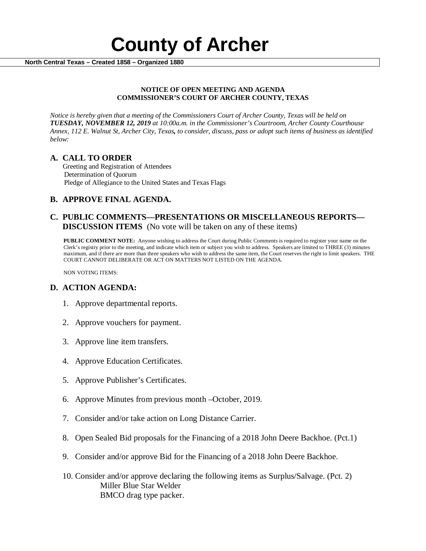

### **NOTICE OF OPEN MEETING AND AGENDA COMMISSIONER'S COURT OF ARCHER COUNTY, TEXAS**

*Notice is hereby given that a meeting of the Commissioners Court of Archer County, Texas will be held on TUESDAY, NOVEMBER 12, 2019 at 10:00a.m. in the Commissioner's Courtroom, Archer County Courthouse Annex, 112 E. Walnut St, Archer City, Texas, to consider, discuss, pass or adopt such items of business as identified below:*

**A. CALL TO ORDER** Greeting and Registration of Attendees Determination of Quorum Pledge of Allegiance to the United States and Texas Flags

# **B. APPROVE FINAL AGENDA.**

# **C. PUBLIC COMMENTS—PRESENTATIONS OR MISCELLANEOUS REPORTS— DISCUSSION ITEMS** (No vote will be taken on any of these items)

**PUBLIC COMMENT NOTE:** Anyone wishing to address the Court during Public Comments is required to register your name on the Clerk's registry prior to the meeting, and indicate which item or subject you wish to address. Speakers are limited to THREE (3) minutes maximum, and if there are more than three speakers who wish to address the same item, the Court reserves the right to limit speakers. THE COURT CANNOT DELIBERATE OR ACT ON MATTERS NOT LISTED ON THE AGENDA.

NON VOTING ITEMS:

# **D. ACTION AGENDA:**

- 1. Approve departmental reports.
- 2. Approve vouchers for payment.
- 3. Approve line item transfers.
- 4. Approve Education Certificates.
- 5. Approve Publisher's Certificates.
- 6. Approve Minutes from previous month –October, 2019*.*
- 7. Consider and/or take action on Long Distance Carrier.
- 8. Open Sealed Bid proposals for the Financing of a 2018 John Deere Backhoe. (Pct.1)
- 9. Consider and/or approve Bid for the Financing of a 2018 John Deere Backhoe.
- 10. Consider and/or approve declaring the following items as Surplus/Salvage. (Pct. 2) Miller Blue Star Welder BMCO drag type packer.